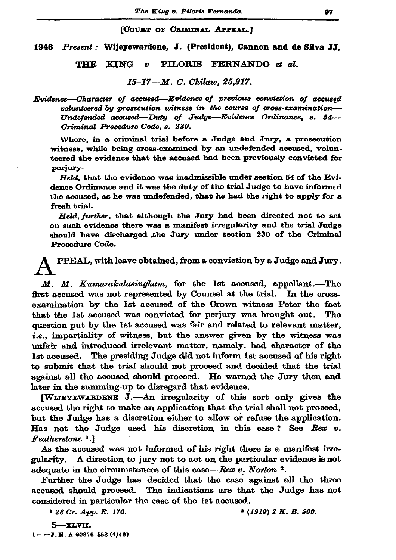(COURT OF CRIMINAL APPEAL.)

1946 Present: Wijeyewardene, J. (President), Cannon and de Silva JJ.

**KING** PILORIS FERNANDO et al. THE  $\bullet$ 

15-17-M. C. Chilaw. 25.917.

Evidence—Character of accused—Evidence of previous conviction of accused volunteered by prosecution witness in the course of cross-examination-Undefended accused—Duty of Judge—Evidence Ordinance, s. 54— Criminal Procedure Code, s. 230.

Where, in a criminal trial before a Judge and Jury, a prosecution witness, while being cross-examined by an undefended accused, volunteered the evidence that the accused had been previously convicted for perjury-

Held, that the evidence was inadmissible under section 54 of the Evidence Ordinance and it was the duty of the trial Judge to have informed the accused, as he was undefended, that he had the right to apply for a fresh trial.

Held, further, that although the Jury had been directed not to act on such evidence there was a manifest irregularity and the trial Judge should have discharged the Jury under section 230 of the Criminal Procedure Code.

PPEAL, with leave obtained, from a conviction by a Judge and Jury.

M. M. Kumarakulasingham, for the 1st accused, appellant.---The first accused was not represented by Counsel at the trial. In the crossexamination by the 1st accused of the Crown witness Peter the fact that the 1st accused was convicted for perjury was brought out. The question put by the 1st accused was fair and related to relevant matter, *i.e.*, impartiality of witness, but the answer given by the witness was unfair and introduced irrelevant matter, namely, bad character of the 1st accused. The presiding Judge did not inform 1st accused of his right to submit that the trial should not proceed and decided that the trial against all the accused should proceed. He warned the Jury then and later in the summing-up to disregard that evidence.

[WIJEYEWARDENE J.-An irregularity of this sort only gives the accused the right to make an application that the trial shall not proceed, but the Judge has a discretion either to allow or refuse the application. Has not the Judge used his discretion in this case? See Rex v. Featherstone<sup>1</sup>.

As the accused was not informed of his right there is a manifest irregularity. A direction to jury not to act on the particular evidence is not adequate in the circumstances of this case—Rex  $v$ . Norton  $^2$ .

Further the Judge has decided that the case against all the three accused should proceed. The indications are that the Judge has not considered in particular the case of the 1st accused.

<sup>1</sup> 28 Cr. App. R. 176.  $2(1910)$  2 K. B. 500.

5-XLVII.  $1 - -7.5$ . A 60876-558 (4/46)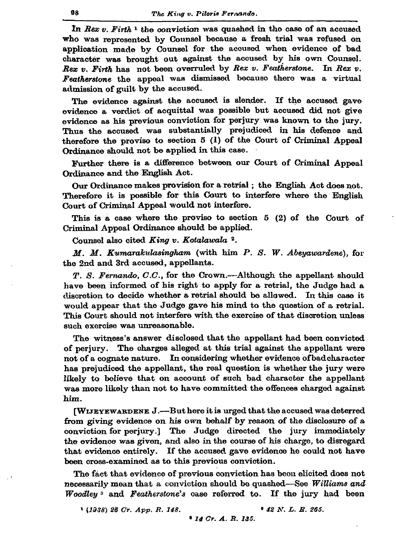In Rex  $v$ . Firth  $v$  the conviction was quashed in the case of an accused who was represented by Counsel because a fresh trial was refused on application made by Counsel for the accused when evidence of bad character was brought out against the accused by his own Counsel. Rex v. Firth has not been overruled by Rex v. Featherstone. In Rex v. Featherstone the appeal was dismissed because there was a virtual admission of guilt by the accused.

The evidence against the accused is slender. If the accused gave evidence a verdict of acquittal was possible but accused did not give evidence as his previous conviction for perjury was known to the jury. Thus the accused was substantially prejudiced in his defence and therefore the proviso to section 5 (1) of the Court of Criminal Appeal Ordinance should not be applied in this case.

Further there is a difference between our Court of Criminal Appeal Ordinance and the English Act.

Our Ordinance makes provision for a retrial; the English Act does not. Therefore it is possible for this Court to interfere where the English Court of Criminal Appeal would not interfere.

This is a case where the proviso to section 5 (2) of the Court of Criminal Appeal Ordinance should be applied.

Counsel also cited King v. Kotalawala 2.

 $M$ .  $M$ . Kumarakulasingham (with him  $P$ . S. W. Abeyawardene), for the 2nd and 3rd accused, appellants.

T. S. Fernando, C.C., for the Crown.—Although the appellant should have been informed of his right to apply for a retrial, the Judge had a discretion to decide whether a retrial should be allowed. In this case it would appear that the Judge gave his mind to the question of a retrial. This Court should not interfere with the exercise of that discretion unless such exercise was unreasonable.

The witness's answer disclosed that the appellant had been convicted of perjury. The charges alleged at this trial against the appellant were not of a cognate nature. In considering whether evidence of bad character has prejudiced the appellant, the real question is whether the jury were likely to believe that on account of such bad character the appellant was more likely than not to have committed the offences charged against him.

[WIJEYEWARDENE J.--But here it is urged that the accused was deterred from giving evidence on his own behalf by reason of the disclosure of a conviction for perjury.] The Judge directed the jury immediately the evidence was given, and also in the course of his charge, to disregard that evidence entirely. If the accused gave evidence he could not have been cross-examined as to this previous conviction.

The fact that evidence of previous conviction has been elicited does not necessarily mean that a conviction should be quashed—See Williams and Woodley<sup>3</sup> and Featherstone's case referred to. If the jury had been

 $(1938)$  26 Cr. App. R. 148.

<sup>\*</sup> 42 N. L. R. 265.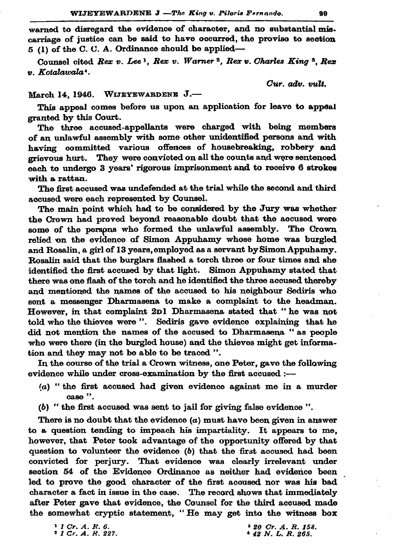warned to disregard the evidence of character, and no substantial miscarriage of justice can be said to have occurred, the proviso to section  $5$  (1) of the C. C. A. Ordinance should be applied—

Counsel cited Rex v. Lee 1, Rex v. Warner 2, Rex v. Charles King 3, Rex v. Kotalawala<sup>4</sup>.

Cur. adv. vult.

## March 14, 1946. WIJEYEWARDENE J.-

This appeal comes before us upon an application for leave to appeal granted by this Court.

The three accused-appellants were charged with being members of an unlawful assembly with some other unidentified persons and with having committed various offences of housebreaking, robbery and grievous hurt. They were convicted on all the counts and were sentenced each to undergo 3 years' rigorous imprisonment and to receive 6 strokes with a rattan.

The first accused was undefended at the trial while the second and third accused were each represented by Counsel.

The main point which had to be considered by the Jury was whether the Crown had proved beyond reasonable doubt that the accused were some of the persons who formed the unlawful assembly. The Crown relied on the evidence of Simon Appuhamy whose home was burgled and Rosalin, a girl of 13 years, employed as a servant by Simon Appuhamy. Rosalin said that the burglars flashed a torch three or four times and she identified the first accused by that light. Simon Appuhamy stated that there was one flash of the torch and he identified the three accused thereby and mentioned the names of the accused to his neighbour Sediris who sent a messenger Dharmasena to make a complaint to the headman. However, in that complaint 2D1 Dharmasena stated that "he was not told who the thieves were ". Sediris gave evidence explaining that he did not mention the names of the accused to Dharmasena "as people who were there (in the burgled house) and the thieves might get information and they may not be able to be traced ".

In the course of the trial a Crown witness, one Peter, gave the following evidence while under cross-examination by the first accused :-

- $(a)$  "the first accused had given evidence against me in a murder case".
- (b) "the first accused was sent to jail for giving false evidence".

There is no doubt that the evidence  $(a)$  must have been given in answer to a question tending to impeach his impartiality. It appears to me, however, that Peter took advantage of the opportunity offered by that question to volunteer the evidence (b) that the first accused had been convicted for perjury. That evidence was clearly irrelevant under section 54 of the Evidence Ordinance as neither had evidence been led to prove the good character of the first acoused nor was his bad character a fact in issue in the case. The record shows that immediately after Peter gave that evidence, the Counsel for the third accused made the somewhat cryptic statement, "He may get into the witness box

 $1$  1 Cr. A. R. 6.  $21$  Gr. A. R. 227.  $320$  Cr. A. R. 158. 4 42 N.L.R. 265.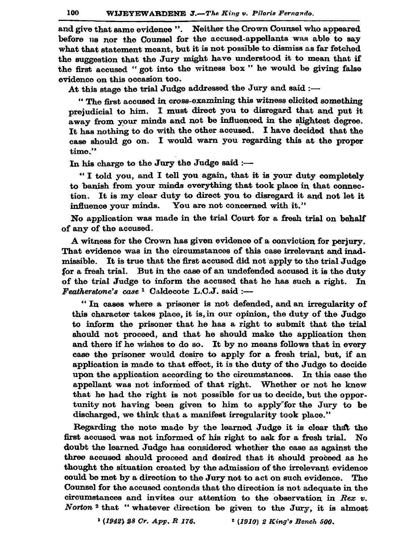and give that same evidence ". Neither the Crown Counsel who appeared before us nor the Counsel for the accused-appellants was able to sav what that statement meant, but it is not possible to dismiss as far fetched the suggestion that the Jury might have understood it to mean that if the first accused "got into the witness box" he would be giving false evidence on this occasion too.

At this stage the trial Judge addressed the Jury and said :-

" The first accused in cross-examining this witness elicited something prejudicial to him. I must direct you to disregard that and put it away from your minds and not be influenced in the slightest degree. It has nothing to do with the other accused. I have decided that the case should go on. I would warn you regarding this at the proper time."

In his charge to the Jury the Judge said :-

"I told you, and I tell you again, that it is your duty completely to banish from your minds everything that took place in that connec-It is my clear duty to direct you to disregard it and not let it tion. influence vour minds. You are not concerned with it."

No application was made in the trial Court for a fresh trial on behalf of any of the accused.

A witness for the Crown has given evidence of a conviction for periury. That evidence was in the circumstances of this case irrelevant and inadmissible. It is true that the first accused did not apply to the trial Judge for a fresh trial. But in the case of an undefended accused it is the duty of the trial Judge to inform the accused that he has such a right. In Featherstone's case <sup>1</sup> Caldecote L.C.J. said :-

"In cases where a prisoner is not defended, and an irregularity of this character takes place, it is, in our opinion, the duty of the Judge to inform the prisoner that he has a right to submit that the trial should not proceed, and that he should make the application then and there if he wishes to do so. It by no means follows that in every case the prisoner would desire to apply for a fresh trial, but, if an application is made to that effect, it is the duty of the Judge to decide upon the application according to the circumstances. In this case the appellant was not informed of that right. Whether or not he knew that he had the right is not possible for us to decide, but the opportunity not having been given to him to apply for the Jury to be discharged, we think that a manifest irregularity took place."

Regarding the note made by the learned Judge it is clear that the first accused was not informed of his right to ask for a fresh trial. No doubt the learned Judge has considered whether the case as against the three accused should proceed and desired that it should proceed as he thought the situation created by the admission of the irrelevant evidence could be met by a direction to the Jury not to act on such evidence. The Counsel for the accused contends that the direction is not adequate in the circumstances and invites our attention to the observation in Rex  $v$ . Norton<sup>2</sup> that "whatever direction be given to the Jury, it is almost

> <sup>1</sup> (1942) 28 Cr. App. R 176. <sup>2</sup> (1910) 2 King's Bench 500.